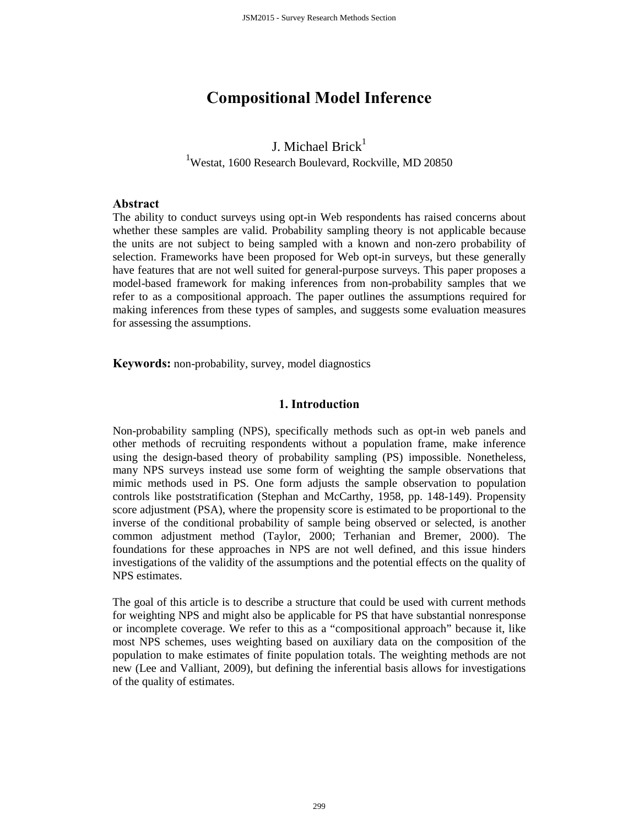# **Compositional Model Inference**

## J. Michael Brick $<sup>1</sup>$ </sup> <sup>1</sup>Westat, 1600 Research Boulevard, Rockville, MD 20850

#### **Abstract**

The ability to conduct surveys using opt-in Web respondents has raised concerns about whether these samples are valid. Probability sampling theory is not applicable because the units are not subject to being sampled with a known and non-zero probability of selection. Frameworks have been proposed for Web opt-in surveys, but these generally have features that are not well suited for general-purpose surveys. This paper proposes a model-based framework for making inferences from non-probability samples that we refer to as a compositional approach. The paper outlines the assumptions required for making inferences from these types of samples, and suggests some evaluation measures for assessing the assumptions.

**Keywords:** non-probability, survey, model diagnostics

## **1. Introduction**

Non-probability sampling (NPS), specifically methods such as opt-in web panels and other methods of recruiting respondents without a population frame, make inference using the design-based theory of probability sampling (PS) impossible. Nonetheless, many NPS surveys instead use some form of weighting the sample observations that mimic methods used in PS. One form adjusts the sample observation to population controls like poststratification (Stephan and McCarthy, 1958, pp. 148-149). Propensity score adjustment (PSA), where the propensity score is estimated to be proportional to the inverse of the conditional probability of sample being observed or selected, is another common adjustment method (Taylor, 2000; Terhanian and Bremer, 2000). The foundations for these approaches in NPS are not well defined, and this issue hinders investigations of the validity of the assumptions and the potential effects on the quality of NPS estimates.

The goal of this article is to describe a structure that could be used with current methods for weighting NPS and might also be applicable for PS that have substantial nonresponse or incomplete coverage. We refer to this as a "compositional approach" because it, like most NPS schemes, uses weighting based on auxiliary data on the composition of the population to make estimates of finite population totals. The weighting methods are not new (Lee and Valliant, 2009), but defining the inferential basis allows for investigations of the quality of estimates.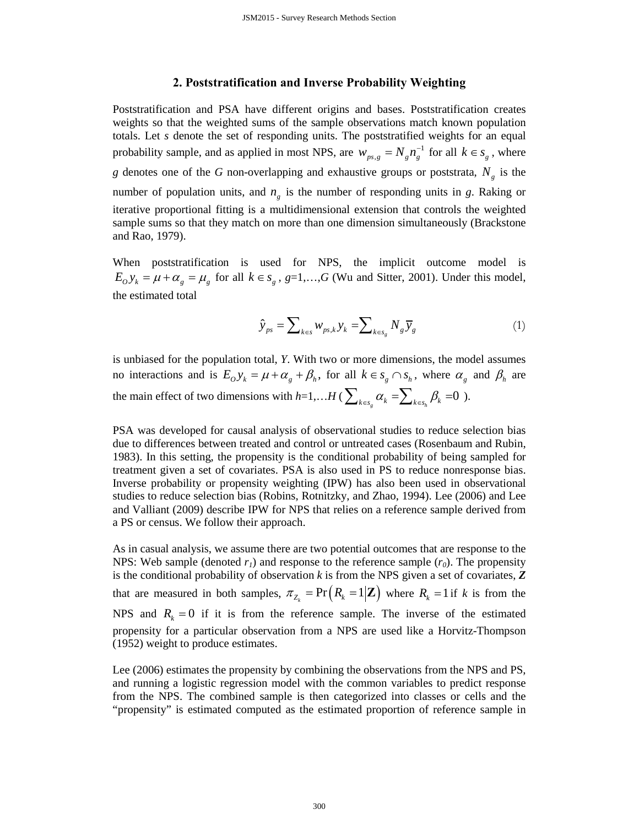#### **2. Poststratification and Inverse Probability Weighting**

Poststratification and PSA have different origins and bases. Poststratification creates weights so that the weighted sums of the sample observations match known population totals. Let *s* denote the set of responding units. The poststratified weights for an equal probability sample, and as applied in most NPS, are  $w_{ps,g} = N_g n_g^{-1}$  for all  $k \in s_g$ , where *g* denotes one of the *G* non-overlapping and exhaustive groups or poststrata,  $N_g$  is the number of population units, and  $n<sub>g</sub>$  is the number of responding units in *g*. Raking or iterative proportional fitting is a multidimensional extension that controls the weighted sample sums so that they match on more than one dimension simultaneously (Brackstone and Rao, 1979).

When poststratification is used for NPS, the implicit outcome model is  $E_0 y_k = \mu + \alpha_g = \mu_g$  for all  $k \in s_g$ ,  $g=1,...,G$  (Wu and Sitter, 2001). Under this model, the estimated total

$$
\hat{\mathbf{y}}_{ps} = \sum\nolimits_{k \in s} w_{ps,k} \mathbf{y}_k = \sum\nolimits_{k \in s_g} N_g \overline{\mathbf{y}}_g \tag{1}
$$

is unbiased for the population total, *Y*. With two or more dimensions, the model assumes no interactions and is  $E_0 y_k = \mu + \alpha_g + \beta_h$ , for all  $k \in s_g \cap s_h$ , where  $\alpha_g$  and  $\beta_h$  are the main effect of two dimensions with  $h=1,...H$  ( $\sum_{k \in s_g} \alpha_k = \sum_{k \in s_h} \beta_k = 0$ ).

PSA was developed for causal analysis of observational studies to reduce selection bias due to differences between treated and control or untreated cases (Rosenbaum and Rubin, 1983). In this setting, the propensity is the conditional probability of being sampled for treatment given a set of covariates. PSA is also used in PS to reduce nonresponse bias. Inverse probability or propensity weighting (IPW) has also been used in observational studies to reduce selection bias (Robins, Rotnitzky, and Zhao, 1994). Lee (2006) and Lee and Valliant (2009) describe IPW for NPS that relies on a reference sample derived from a PS or census. We follow their approach.

As in casual analysis, we assume there are two potential outcomes that are response to the NPS: Web sample (denoted  $r_1$ ) and response to the reference sample  $(r_0)$ . The propensity is the conditional probability of observation *k* is from the NPS given a set of covariates, *Z* that are measured in both samples,  $\pi_{Z_{\ell}} = \Pr(R_{k} = 1 | \mathbf{Z})$  where  $R_{k} = 1$  if k is from the NPS and  $R_k = 0$  if it is from the reference sample. The inverse of the estimated propensity for a particular observation from a NPS are used like a Horvitz-Thompson (1952) weight to produce estimates.

Lee (2006) estimates the propensity by combining the observations from the NPS and PS, and running a logistic regression model with the common variables to predict response from the NPS. The combined sample is then categorized into classes or cells and the "propensity" is estimated computed as the estimated proportion of reference sample in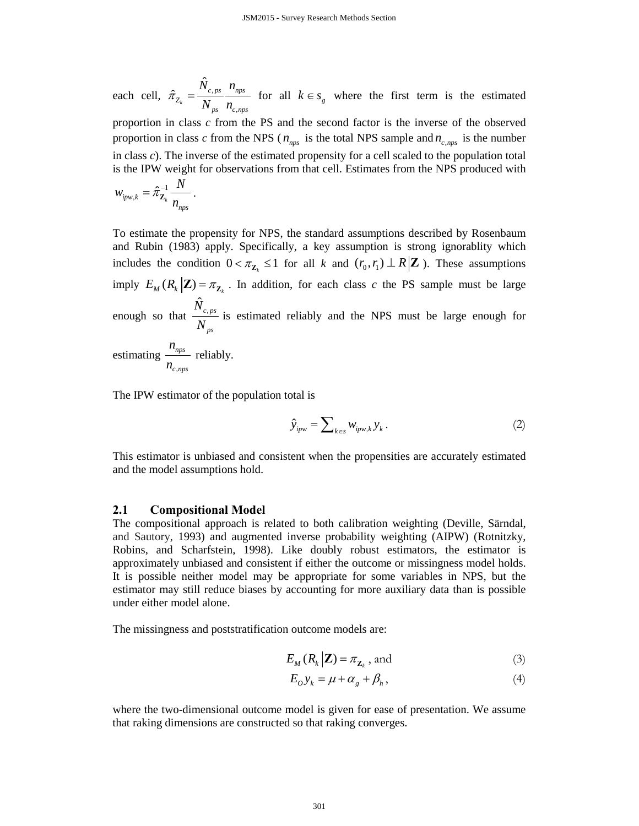each cell,  $\hat{\pi}_{z_i} = \frac{N_c}{N}$ ,  $\hat{\tau}_{Z_k} = \frac{\hat{N}}{N}$  $c, ps$   $n_{nps}$ *Z* ps  $\mathbf{r}_{c,nps}$  $\widetilde{N}_{c}$ <sub>ns</sub> n  $\hat{\pi}_{Z_k} = \frac{\sum_{c, ps}^{R} \dots_{nps}}{N_{ps}}$  for all  $k \in s_g$  where the first term is the estimated

proportion in class *c* from the PS and the second factor is the inverse of the observed proportion in class *c* from the NPS ( $n_{\text{max}}$  is the total NPS sample and  $n_{\text{c,max}}$  is the number in class *c*). The inverse of the estimated propensity for a cell scaled to the population total is the IPW weight for observations from that cell. Estimates from the NPS produced with

$$
w_{ipw,k} = \hat{\pi}_{\mathbf{Z}_k}^{-1} \frac{N}{n_{nps}}.
$$

To estimate the propensity for NPS, the standard assumptions described by Rosenbaum and Rubin (1983) apply. Specifically, a key assumption is strong ignorablity which includes the condition  $0 < \pi_{\mathbb{Z}_p} \leq 1$  for all *k* and  $(r_0, r_1) \perp R | \mathbb{Z}$ ). These assumptions imply  $E_M ( R_k | \mathbf{Z} ) = \pi_{\mathbf{Z}}$ . In addition, for each class *c* the PS sample must be large enough so that  $\frac{\hat{N}_{c,ps}}{N}$ *ps N*  $\frac{C_{\cdot}ps}{N_{\cdot}p_s}$  is estimated reliably and the NPS must be large enough for estimating *nps n* reliably.

, *c nps n*

The IPW estimator of the population total is

$$
\hat{\mathbf{y}}_{ipw} = \sum_{k \in s} w_{ipw,k} \mathbf{y}_k. \tag{2}
$$

This estimator is unbiased and consistent when the propensities are accurately estimated and the model assumptions hold.

#### **2.1 Compositional Model**

The compositional approach is related to both calibration weighting (Deville, Särndal, and Sautory, 1993) and augmented inverse probability weighting (AIPW) (Rotnitzky, Robins, and Scharfstein, 1998). Like doubly robust estimators, the estimator is approximately unbiased and consistent if either the outcome or missingness model holds. It is possible neither model may be appropriate for some variables in NPS, but the estimator may still reduce biases by accounting for more auxiliary data than is possible under either model alone.

The missingness and poststratification outcome models are:

$$
E_M(R_k|\mathbf{Z}) = \pi_{\mathbf{Z}_k} \text{, and} \tag{3}
$$

$$
E_o y_k = \mu + \alpha_g + \beta_h, \tag{4}
$$

where the two-dimensional outcome model is given for ease of presentation. We assume that raking dimensions are constructed so that raking converges.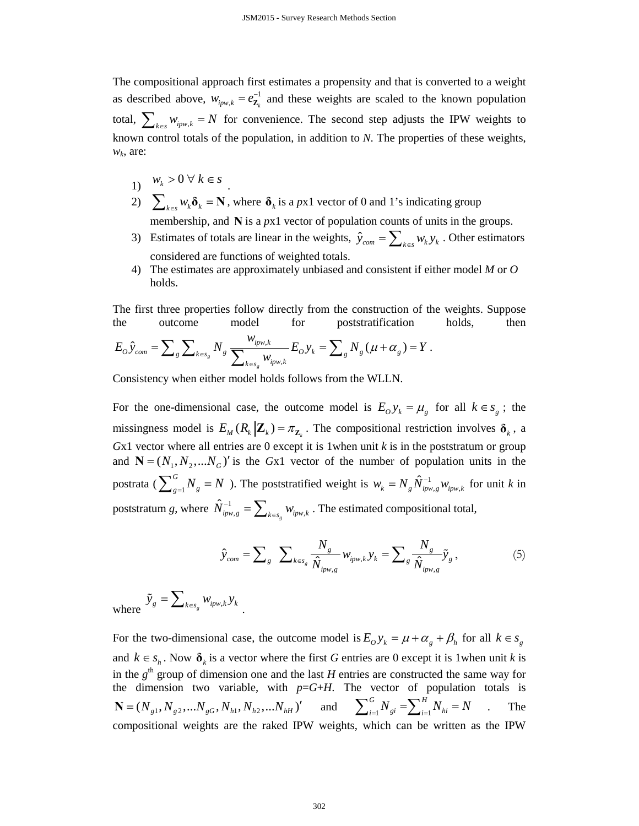The compositional approach first estimates a propensity and that is converted to a weight as described above,  $w_{ipw,k} = e^{-1}_{\mathbf{Z}_k}$  and these weights are scaled to the known population total,  $\sum_{k \in S} w_{ipw,k} = N$  for convenience. The second step adjusts the IPW weights to known control totals of the population, in addition to *N*. The properties of these weights, *wk*, are:

- 1)  $w_k > 0 \ \forall \ k \in \mathcal{S}$
- 2)  $\sum_{k \in S} w_k \delta_k = \mathbf{N}$ , where  $\delta_k$  is a *px1* vector of 0 and 1's indicating group membership, and **N** is a *px*1 vector of population counts of units in the groups.
- 3) Estimates of totals are linear in the weights,  $\hat{y}_{com} = \sum_{k \in S} w_k y_k$ . Other estimators considered are functions of weighted totals.
- 4) The estimates are approximately unbiased and consistent if either model *M* or *O* holds.

The first three properties follow directly from the construction of the weights. Suppose the outcome model for poststratification holds, then

$$
E_O \hat{y}_{com} = \sum_g \sum_{k \in s_g} N_g \frac{w_{ipw,k}}{\sum_{k \in s_g} w_{ipw,k}} E_O y_k = \sum_g N_g (\mu + \alpha_g) = Y.
$$

Consistency when either model holds follows from the WLLN.

For the one-dimensional case, the outcome model is  $E_0 y_k = \mu_g$  for all  $k \in s_g$ ; the missingness model is  $E_M(R_k | \mathbf{Z}_k) = \pi_{\mathbf{Z}_k}$ . The compositional restriction involves  $\mathbf{\delta}_k$ , a  $Gx1$  vector where all entries are 0 except it is 1when unit  $k$  is in the poststratum or group and  $N = (N_1, N_2, \ldots, N_G)'$  is the *Gx1* vector of the number of population units in the postrata ( $\sum_{g=1}^{G}$  $\sum_{g=1}^{G} N_g = N$ ). The poststratified weight is  $w_k = N_g \hat{N}_{ipw,g}^{-1} w_{ipw,k}$  for unit *k* in poststratum *g*, where  $\hat{N}_{ipw,g}^{-1} = \sum_{k \in s_g} w_{ipw,k}$ . The estimated compositional total,

$$
\hat{y}_{com} = \sum_{g} \sum_{k \in s_g} \frac{N_g}{\hat{N}_{ipw,g}} w_{ipw,k} y_k = \sum_{g} \frac{N_g}{\hat{N}_{ipw,g}} \tilde{y}_g, \qquad (5)
$$

where  $\tilde{y}_g = \sum_{k \in s_g} w_{ipw,k} y_k$ 

For the two-dimensional case, the outcome model is  $E_0 y_k = \mu + \alpha_g + \beta_h$  for all  $k \in s_g$ and  $k \in s_h$ . Now  $\delta_k$  is a vector where the first G entries are 0 except it is 1when unit k is in the  $g<sup>th</sup>$  group of dimension one and the last *H* entries are constructed the same way for the dimension two variable, with  $p = G + H$ . The vector of population totals is  $N = (N_{g1}, N_{g2}, ... N_{gG}, N_{h1}, N_{h2}, ... N_{hH})'$  and  $\sum_{i=1}^{G} N_{gi} = \sum_{i=1}^{H} N_{gi}$  $G_{\mathbf{v},\mathbf{v}}$   $\mathbf{\nabla}^H$  $\sum_{i=1}^{G} N_{gi} = \sum_{i=1}^{H} N_{hi} = N$  . The compositional weights are the raked IPW weights, which can be written as the IPW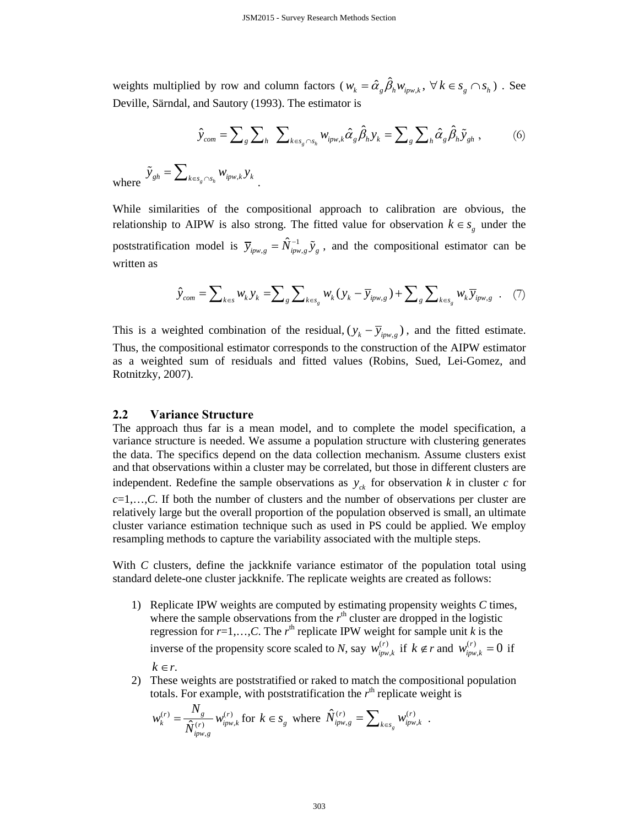weights multiplied by row and column factors ( $w_k = \hat{\alpha}_g \hat{\beta}_h w_{ipw,k}$ ,  $\forall k \in s_g \cap s_h$ ). See Deville, Särndal, and Sautory (1993). The estimator is

$$
\hat{y}_{com} = \sum_{g} \sum_{h} \sum_{k \in s_{g} \cap s_{h}} w_{ipw,k} \hat{\alpha}_{g} \hat{\beta}_{h} y_{k} = \sum_{g} \sum_{h} \hat{\alpha}_{g} \hat{\beta}_{h} \tilde{y}_{gh} ,
$$
 (6)

where  $\tilde{y}_{gh} = \sum_{k \in s_g \cap s_h} w_{ipw,k} y_k$ 

While similarities of the compositional approach to calibration are obvious, the relationship to AIPW is also strong. The fitted value for observation  $k \in s<sub>g</sub>$  under the poststratification model is  $\bar{y}_{ipw,g} = \hat{N}_{ipw,g}^{-1} \tilde{y}_g$ , and the compositional estimator can be written as

$$
\hat{y}_{com} = \sum_{k \in s} w_k y_k = \sum_{g} \sum_{k \in s_g} w_k (y_k - \overline{y}_{ipw,g}) + \sum_{g} \sum_{k \in s_g} w_k \overline{y}_{ipw,g} . \quad (7)
$$

This is a weighted combination of the residual,  $(y_k - \overline{y}_{i p w, g})$ , and the fitted estimate. Thus, the compositional estimator corresponds to the construction of the AIPW estimator as a weighted sum of residuals and fitted values (Robins, Sued, Lei-Gomez, and Rotnitzky, 2007).

### **2.2 Variance Structure**

The approach thus far is a mean model, and to complete the model specification, a variance structure is needed. We assume a population structure with clustering generates the data. The specifics depend on the data collection mechanism. Assume clusters exist and that observations within a cluster may be correlated, but those in different clusters are independent. Redefine the sample observations as  $y_{ck}$  for observation *k* in cluster *c* for  $c=1,\ldots,C$ . If both the number of clusters and the number of observations per cluster are relatively large but the overall proportion of the population observed is small, an ultimate cluster variance estimation technique such as used in PS could be applied. We employ resampling methods to capture the variability associated with the multiple steps.

With *C* clusters, define the jackknife variance estimator of the population total using standard delete-one cluster jackknife. The replicate weights are created as follows:

- 1) Replicate IPW weights are computed by estimating propensity weights *C* times, where the sample observations from the  $r<sup>th</sup>$  cluster are dropped in the logistic regression for  $r=1,\ldots,C$ . The  $r<sup>th</sup>$  replicate IPW weight for sample unit *k* is the inverse of the propensity score scaled to *N*, say  $w_{ipw,k}^{(r)}$  if  $k \notin r$  and  $w_{ipw,k}^{(r)} = 0$  if  $k \in r$ .
- 2) These weights are poststratified or raked to match the compositional population totals. For example, with poststratification the  $r<sup>th</sup>$  replicate weight is

$$
w_k^{(r)} = \frac{N_g}{\hat{N}_{ipw,g}^{(r)}} w_{ipw,k}^{(r)}
$$
 for  $k \in s_g$  where  $\hat{N}_{ipw,g}^{(r)} = \sum_{k \in s_g} w_{ipw,k}^{(r)}$ .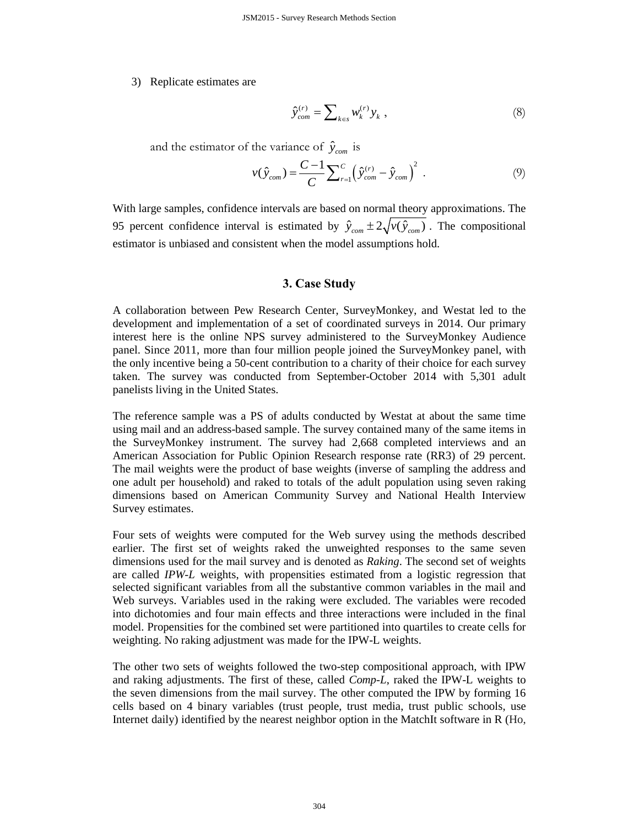3) Replicate estimates are

$$
\hat{y}_{com}^{(r)} = \sum_{k \in s} w_k^{(r)} y_k \t{,} \t(8)
$$

and the estimator of the variance of  $\hat{y}_{com}$  is

$$
v(\hat{y}_{com}) = \frac{C-1}{C} \sum_{r=1}^{C} \left(\hat{y}_{com}^{(r)} - \hat{y}_{com}\right)^2 \tag{9}
$$

With large samples, confidence intervals are based on normal theory approximations. The 95 percent confidence interval is estimated by  $\hat{y}_{com} \pm 2\sqrt{v(\hat{y}_{com})}$ . The compositional estimator is unbiased and consistent when the model assumptions hold.

#### **3. Case Study**

A collaboration between Pew Research Center, SurveyMonkey, and Westat led to the development and implementation of a set of coordinated surveys in 2014. Our primary interest here is the online NPS survey administered to the SurveyMonkey Audience panel. Since 2011, more than four million people joined the SurveyMonkey panel, with the only incentive being a 50-cent contribution to a charity of their choice for each survey taken. The survey was conducted from September-October 2014 with 5,301 adult panelists living in the United States.

The reference sample was a PS of adults conducted by Westat at about the same time using mail and an address-based sample. The survey contained many of the same items in the SurveyMonkey instrument. The survey had 2,668 completed interviews and an American Association for Public Opinion Research response rate (RR3) of 29 percent. The mail weights were the product of base weights (inverse of sampling the address and one adult per household) and raked to totals of the adult population using seven raking dimensions based on American Community Survey and National Health Interview Survey estimates.

Four sets of weights were computed for the Web survey using the methods described earlier. The first set of weights raked the unweighted responses to the same seven dimensions used for the mail survey and is denoted as *Raking*. The second set of weights are called *IPW-L* weights, with propensities estimated from a logistic regression that selected significant variables from all the substantive common variables in the mail and Web surveys. Variables used in the raking were excluded. The variables were recoded into dichotomies and four main effects and three interactions were included in the final model. Propensities for the combined set were partitioned into quartiles to create cells for weighting. No raking adjustment was made for the IPW-L weights.

The other two sets of weights followed the two-step compositional approach, with IPW and raking adjustments. The first of these, called *Comp-L*, raked the IPW-L weights to the seven dimensions from the mail survey. The other computed the IPW by forming 16 cells based on 4 binary variables (trust people, trust media, trust public schools, use Internet daily) identified by the nearest neighbor option in the MatchIt software in R (Ho,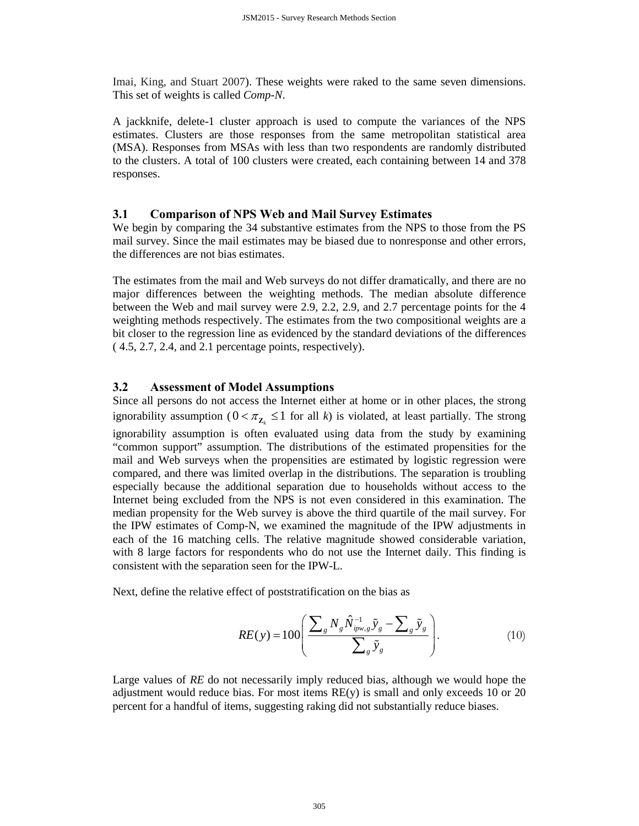Imai, King, and Stuart 2007). These weights were raked to the same seven dimensions. This set of weights is called *Comp-N*.

A jackknife, delete-1 cluster approach is used to compute the variances of the NPS estimates. Clusters are those responses from the same metropolitan statistical area (MSA). Responses from MSAs with less than two respondents are randomly distributed to the clusters. A total of 100 clusters were created, each containing between 14 and 378 responses.

## **3.1 Comparison of NPS Web and Mail Survey Estimates**

We begin by comparing the 34 substantive estimates from the NPS to those from the PS mail survey. Since the mail estimates may be biased due to nonresponse and other errors, the differences are not bias estimates.

The estimates from the mail and Web surveys do not differ dramatically, and there are no major differences between the weighting methods. The median absolute difference between the Web and mail survey were 2.9, 2.2, 2.9, and 2.7 percentage points for the 4 weighting methods respectively. The estimates from the two compositional weights are a bit closer to the regression line as evidenced by the standard deviations of the differences ( 4.5, 2.7, 2.4, and 2.1 percentage points, respectively).

## **3.2 Assessment of Model Assumptions**

Since all persons do not access the Internet either at home or in other places, the strong ignorability assumption  $(0 < \pi_{Z_{\ell}} \leq 1$  for all *k*) is violated, at least partially. The strong ignorability assumption is often evaluated using data from the study by examining "common support" assumption. The distributions of the estimated propensities for the mail and Web surveys when the propensities are estimated by logistic regression were compared, and there was limited overlap in the distributions. The separation is troubling especially because the additional separation due to households without access to the Internet being excluded from the NPS is not even considered in this examination. The median propensity for the Web survey is above the third quartile of the mail survey. For the IPW estimates of Comp-N, we examined the magnitude of the IPW adjustments in each of the 16 matching cells. The relative magnitude showed considerable variation, with 8 large factors for respondents who do not use the Internet daily. This finding is consistent with the separation seen for the IPW-L.

Next, define the relative effect of poststratification on the bias as

$$
RE(y) = 100 \left( \frac{\sum_{g} N_{g} \hat{N}_{ipw,g}^{-1} \tilde{y}_{g} - \sum_{g} \tilde{y}_{g}}{\sum_{g} \tilde{y}_{g}} \right). \tag{10}
$$

Large values of RE do not necessarily imply reduced bias, although we would hope the adjustment would reduce bias. For most items  $RE(y)$  is small and only exceeds 10 or 20 percent for a handful of items, suggesting raking did not substantially reduce biases.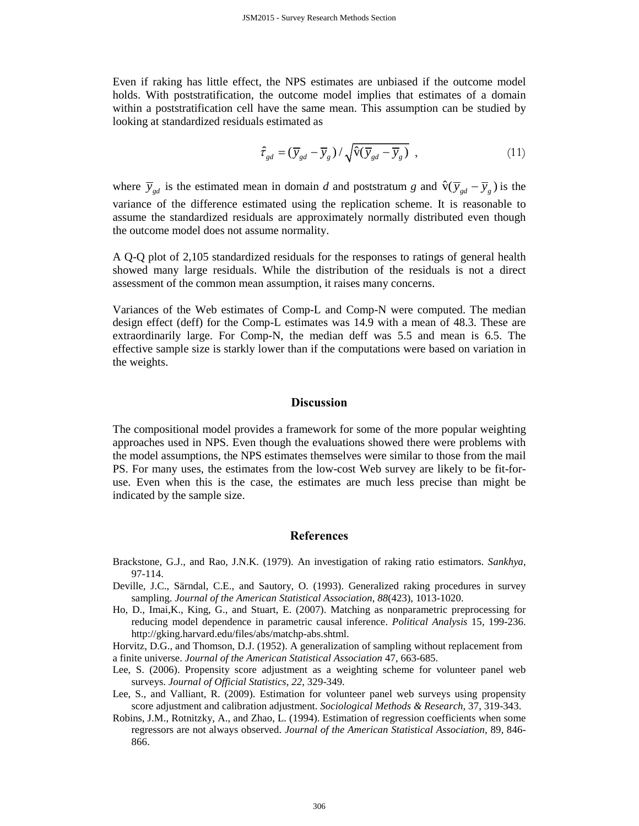Even if raking has little effect, the NPS estimates are unbiased if the outcome model holds. With poststratification, the outcome model implies that estimates of a domain within a poststratification cell have the same mean. This assumption can be studied by looking at standardized residuals estimated as

$$
\hat{\tau}_{gd} = (\overline{y}_{gd} - \overline{y}_g) / \sqrt{\hat{v}(\overline{y}_{gd} - \overline{y}_g)},
$$
\n(11)

where  $\overline{y}_{gd}$  is the estimated mean in domain *d* and poststratum *g* and  $\hat{v}(\overline{y}_{gd} - \overline{y}_{g})$  is the variance of the difference estimated using the replication scheme. It is reasonable to assume the standardized residuals are approximately normally distributed even though the outcome model does not assume normality.

A Q-Q plot of 2,105 standardized residuals for the responses to ratings of general health showed many large residuals. While the distribution of the residuals is not a direct assessment of the common mean assumption, it raises many concerns.

Variances of the Web estimates of Comp-L and Comp-N were computed. The median design effect (deff) for the Comp-L estimates was 14.9 with a mean of 48.3. These are extraordinarily large. For Comp-N, the median deff was 5.5 and mean is 6.5. The effective sample size is starkly lower than if the computations were based on variation in the weights.

#### **Discussion**

The compositional model provides a framework for some of the more popular weighting approaches used in NPS. Even though the evaluations showed there were problems with the model assumptions, the NPS estimates themselves were similar to those from the mail PS. For many uses, the estimates from the low-cost Web survey are likely to be fit-foruse. Even when this is the case, the estimates are much less precise than might be indicated by the sample size.

#### **References**

- Brackstone, G.J., and Rao, J.N.K. (1979). An investigation of raking ratio estimators. *Sankhya*, 97-114.
- Deville, J.C., Särndal, C.E., and Sautory, O. (1993). Generalized raking procedures in survey sampling. *Journal of the American Statistical Association*, *88*(423), 1013-1020.
- Ho, D., Imai,K., King, G., and Stuart, E. (2007). Matching as nonparametric preprocessing for reducing model dependence in parametric causal inference. *Political Analysis* 15, 199-236. http://gking.harvard.edu/files/abs/matchp-abs.shtml.
- Horvitz, D.G., and Thomson, D.J. (1952). A generalization of sampling without replacement from a finite universe. *Journal of the American Statistical Association* 47, 663-685.
- Lee, S. (2006). Propensity score adjustment as a weighting scheme for volunteer panel web surveys. *Journal of Official Statistics*, *22*, 329-349.
- Lee, S., and Valliant, R. (2009). Estimation for volunteer panel web surveys using propensity score adjustment and calibration adjustment. *Sociological Methods & Research,* 37, 319-343.
- Robins, J.M., Rotnitzky, A., and Zhao, L. (1994). Estimation of regression coefficients when some regressors are not always observed. *Journal of the American Statistical Association,* 89, 846- 866.